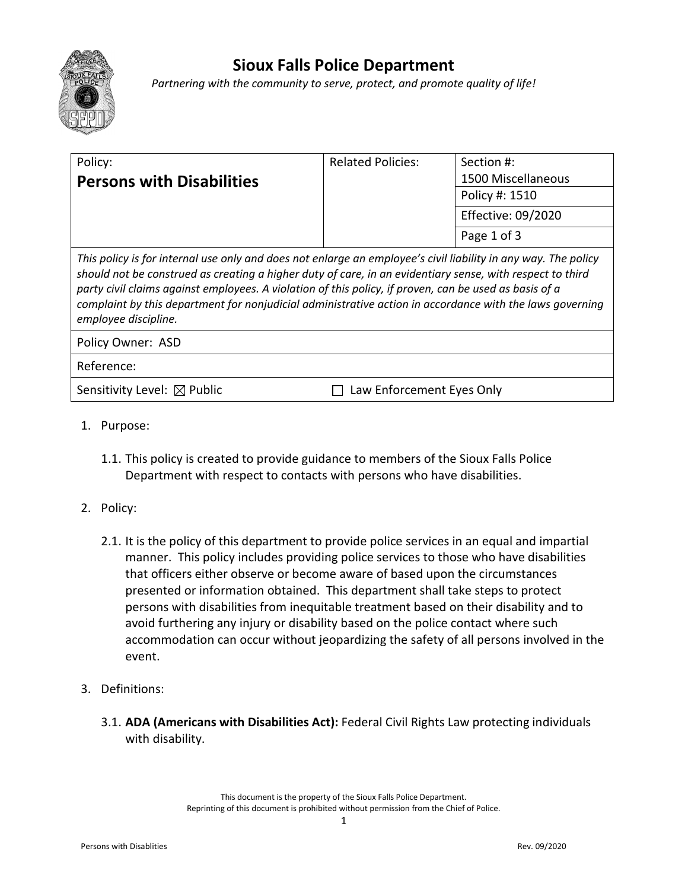

## **Sioux Falls Police Department**

*Partnering with the community to serve, protect, and promote quality of life!*

| Policy:                                                                                                                                                                                                                                                                                                                                                                                                                                                                   | <b>Related Policies:</b>  | Section #:                |
|---------------------------------------------------------------------------------------------------------------------------------------------------------------------------------------------------------------------------------------------------------------------------------------------------------------------------------------------------------------------------------------------------------------------------------------------------------------------------|---------------------------|---------------------------|
| <b>Persons with Disabilities</b>                                                                                                                                                                                                                                                                                                                                                                                                                                          |                           | 1500 Miscellaneous        |
|                                                                                                                                                                                                                                                                                                                                                                                                                                                                           |                           | Policy #: 1510            |
|                                                                                                                                                                                                                                                                                                                                                                                                                                                                           |                           | <b>Effective: 09/2020</b> |
|                                                                                                                                                                                                                                                                                                                                                                                                                                                                           |                           | Page 1 of 3               |
| This policy is for internal use only and does not enlarge an employee's civil liability in any way. The policy<br>should not be construed as creating a higher duty of care, in an evidentiary sense, with respect to third<br>party civil claims against employees. A violation of this policy, if proven, can be used as basis of a<br>complaint by this department for nonjudicial administrative action in accordance with the laws governing<br>employee discipline. |                           |                           |
| Policy Owner: ASD                                                                                                                                                                                                                                                                                                                                                                                                                                                         |                           |                           |
| Reference:                                                                                                                                                                                                                                                                                                                                                                                                                                                                |                           |                           |
| Sensitivity Level: $\boxtimes$ Public                                                                                                                                                                                                                                                                                                                                                                                                                                     | Law Enforcement Eyes Only |                           |

- 1. Purpose:
	- 1.1. This policy is created to provide guidance to members of the Sioux Falls Police Department with respect to contacts with persons who have disabilities.
- 2. Policy:
	- 2.1. It is the policy of this department to provide police services in an equal and impartial manner. This policy includes providing police services to those who have disabilities that officers either observe or become aware of based upon the circumstances presented or information obtained. This department shall take steps to protect persons with disabilities from inequitable treatment based on their disability and to avoid furthering any injury or disability based on the police contact where such accommodation can occur without jeopardizing the safety of all persons involved in the event.
- 3. Definitions:
	- 3.1. **ADA (Americans with Disabilities Act):** Federal Civil Rights Law protecting individuals with disability.

This document is the property of the Sioux Falls Police Department. Reprinting of this document is prohibited without permission from the Chief of Police.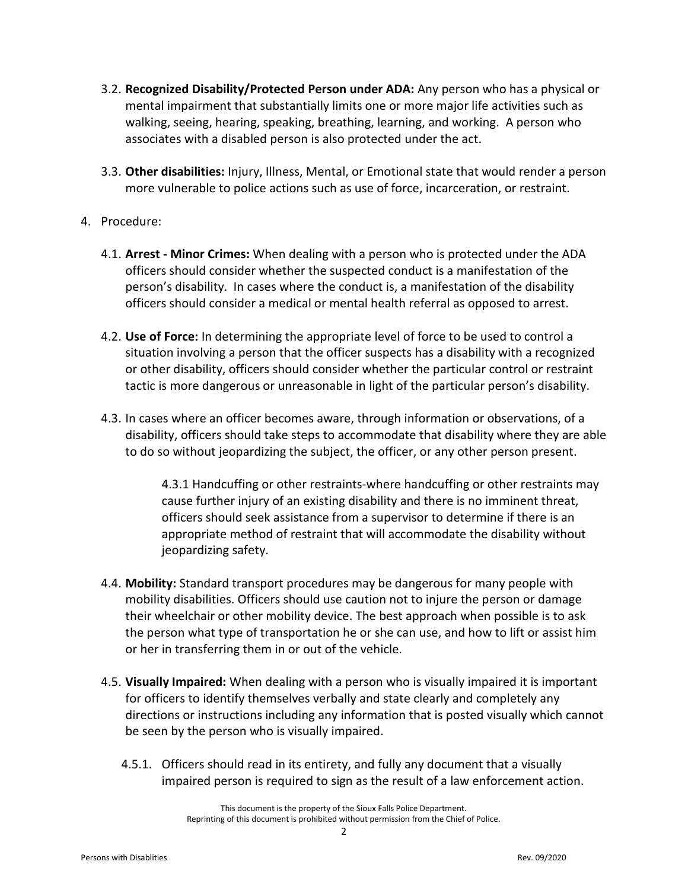- 3.2. **Recognized Disability/Protected Person under ADA:** Any person who has a physical or mental impairment that substantially limits one or more major life activities such as walking, seeing, hearing, speaking, breathing, learning, and working. A person who associates with a disabled person is also protected under the act.
- 3.3. **Other disabilities:** Injury, Illness, Mental, or Emotional state that would render a person more vulnerable to police actions such as use of force, incarceration, or restraint.

## 4. Procedure:

- 4.1. **Arrest - Minor Crimes:** When dealing with a person who is protected under the ADA officers should consider whether the suspected conduct is a manifestation of the person's disability. In cases where the conduct is, a manifestation of the disability officers should consider a medical or mental health referral as opposed to arrest.
- 4.2. **Use of Force:** In determining the appropriate level of force to be used to control a situation involving a person that the officer suspects has a disability with a recognized or other disability, officers should consider whether the particular control or restraint tactic is more dangerous or unreasonable in light of the particular person's disability.
- 4.3. In cases where an officer becomes aware, through information or observations, of a disability, officers should take steps to accommodate that disability where they are able to do so without jeopardizing the subject, the officer, or any other person present.

4.3.1 Handcuffing or other restraints-where handcuffing or other restraints may cause further injury of an existing disability and there is no imminent threat, officers should seek assistance from a supervisor to determine if there is an appropriate method of restraint that will accommodate the disability without jeopardizing safety.

- 4.4. **Mobility:** Standard transport procedures may be dangerous for many people with mobility disabilities. Officers should use caution not to injure the person or damage their wheelchair or other mobility device. The best approach when possible is to ask the person what type of transportation he or she can use, and how to lift or assist him or her in transferring them in or out of the vehicle.
- 4.5. **Visually Impaired:** When dealing with a person who is visually impaired it is important for officers to identify themselves verbally and state clearly and completely any directions or instructions including any information that is posted visually which cannot be seen by the person who is visually impaired.
	- 4.5.1. Officers should read in its entirety, and fully any document that a visually impaired person is required to sign as the result of a law enforcement action.